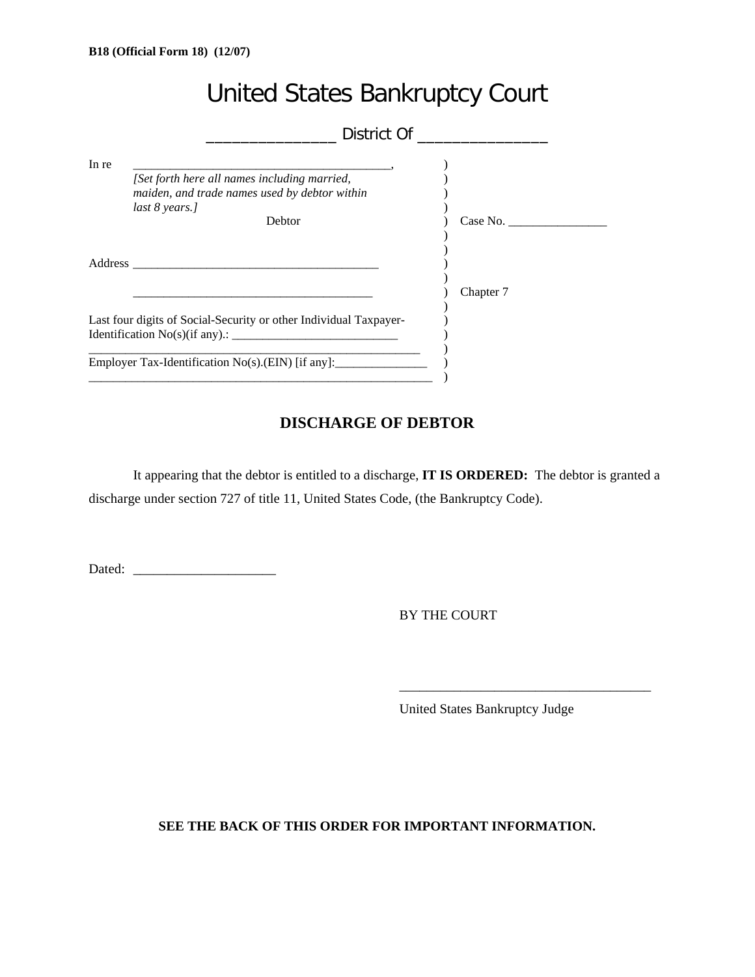|       | <b>United States Bankruptcy Court</b>                                                                           |           |
|-------|-----------------------------------------------------------------------------------------------------------------|-----------|
|       | District Of ______                                                                                              |           |
| In re | [Set forth here all names including married,<br>maiden, and trade names used by debtor within<br>last 8 years.] |           |
|       | <b>Debtor</b>                                                                                                   | Case No.  |
|       |                                                                                                                 | Chapter 7 |
|       | Last four digits of Social-Security or other Individual Taxpayer-                                               |           |
|       | Employer Tax-Identification No(s).(EIN) [if any]:                                                               |           |

# **DISCHARGE OF DEBTOR**

It appearing that the debtor is entitled to a discharge, **IT IS ORDERED:** The debtor is granted a discharge under section 727 of title 11, United States Code, (the Bankruptcy Code).

Dated: \_\_\_\_\_\_\_\_\_\_\_\_\_\_\_\_\_\_\_\_\_

BY THE COURT

United States Bankruptcy Judge

\_\_\_\_\_\_\_\_\_\_\_\_\_\_\_\_\_\_\_\_\_\_\_\_\_\_\_\_\_\_\_\_\_\_\_\_\_

**SEE THE BACK OF THIS ORDER FOR IMPORTANT INFORMATION.**